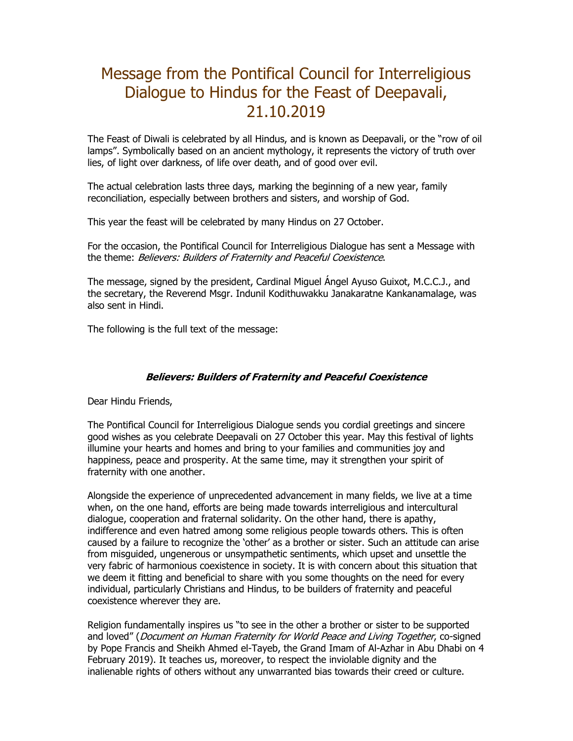## Message from the Pontifical Council for Interreligious Dialogue to Hindus for the Feast of Deepavali, 21.10.2019

The Feast of Diwali is celebrated by all Hindus, and is known as Deepavali, or the "row of oil lamps". Symbolically based on an ancient mythology, it represents the victory of truth over lies, of light over darkness, of life over death, and of good over evil.

The actual celebration lasts three days, marking the beginning of a new year, family reconciliation, especially between brothers and sisters, and worship of God.

This year the feast will be celebrated by many Hindus on 27 October.

For the occasion, the Pontifical Council for Interreligious Dialogue has sent a Message with the theme: Believers: Builders of Fraternity and Peaceful Coexistence.

The message, signed by the president, Cardinal Miguel Ángel Ayuso Guixot, M.C.C.J., and the secretary, the Reverend Msgr. Indunil Kodithuwakku Janakaratne Kankanamalage, was also sent in Hindi.

The following is the full text of the message:

## **Believers: Builders of Fraternity and Peaceful Coexistence**

Dear Hindu Friends,

The Pontifical Council for Interreligious Dialogue sends you cordial greetings and sincere good wishes as you celebrate Deepavali on 27 October this year. May this festival of lights illumine your hearts and homes and bring to your families and communities joy and happiness, peace and prosperity. At the same time, may it strengthen your spirit of fraternity with one another.

Alongside the experience of unprecedented advancement in many fields, we live at a time when, on the one hand, efforts are being made towards interreligious and intercultural dialogue, cooperation and fraternal solidarity. On the other hand, there is apathy, indifference and even hatred among some religious people towards others. This is often caused by a failure to recognize the 'other' as a brother or sister. Such an attitude can arise from misguided, ungenerous or unsympathetic sentiments, which upset and unsettle the very fabric of harmonious coexistence in society. It is with concern about this situation that we deem it fitting and beneficial to share with you some thoughts on the need for every individual, particularly Christians and Hindus, to be builders of fraternity and peaceful coexistence wherever they are.

Religion fundamentally inspires us "to see in the other a brother or sister to be supported and loved" (*Document on Human Fraternity for World Peace and Living Together*, co-signed by Pope Francis and Sheikh Ahmed el-Tayeb, the Grand Imam of Al-Azhar in Abu Dhabi on 4 February 2019). It teaches us, moreover, to respect the inviolable dignity and the inalienable rights of others without any unwarranted bias towards their creed or culture.